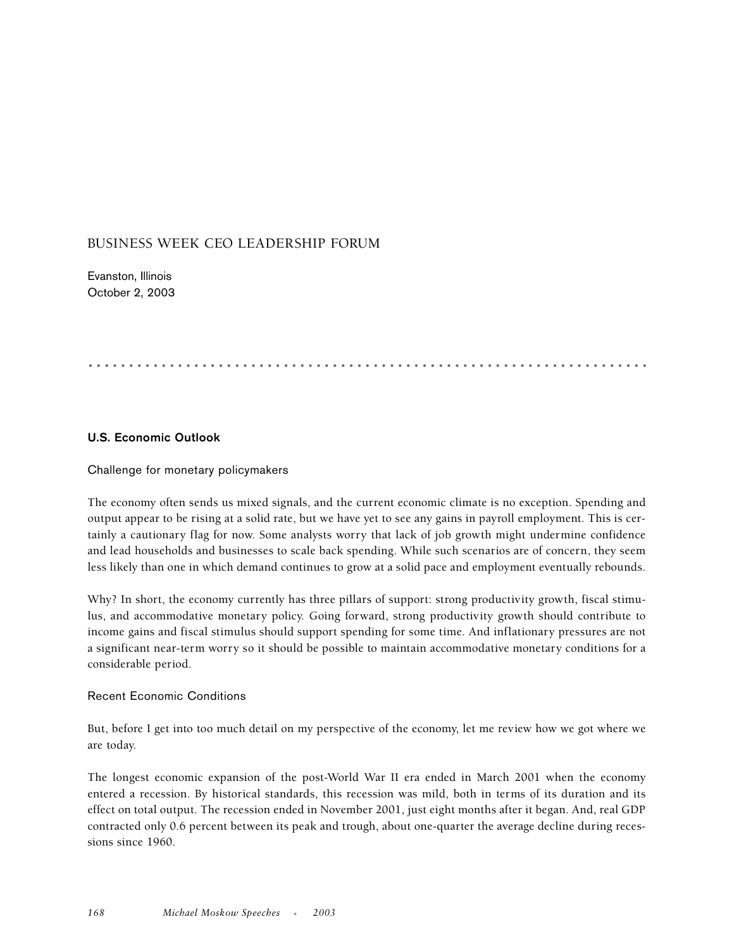# BUSINESS WEEK CEO LEADERSHIP FORUM

Evanston, Illinois October 2, 2003

# .....................................................................

## **U.S. Economic Outlook**

Challenge for monetary policymakers

The economy often sends us mixed signals, and the current economic climate is no exception. Spending and output appear to be rising at a solid rate, but we have yet to see any gains in payroll employment. This is certainly a cautionary flag for now. Some analysts worry that lack of job growth might undermine confidence and lead households and businesses to scale back spending. While such scenarios are of concern, they seem less likely than one in which demand continues to grow at a solid pace and employment eventually rebounds.

Why? In short, the economy currently has three pillars of support: strong productivity growth, fiscal stimulus, and accommodative monetary policy. Going forward, strong productivity growth should contribute to income gains and fiscal stimulus should support spending for some time. And inflationary pressures are not a significant near-term worry so it should be possible to maintain accommodative monetary conditions for a considerable period.

#### Recent Economic Conditions

But, before I get into too much detail on my perspective of the economy, let me review how we got where we are today.

The longest economic expansion of the post-World War II era ended in March 2001 when the economy entered a recession. By historical standards, this recession was mild, both in terms of its duration and its effect on total output. The recession ended in November 2001, just eight months after it began. And, real GDP contracted only 0.6 percent between its peak and trough, about one-quarter the average decline during recessions since 1960.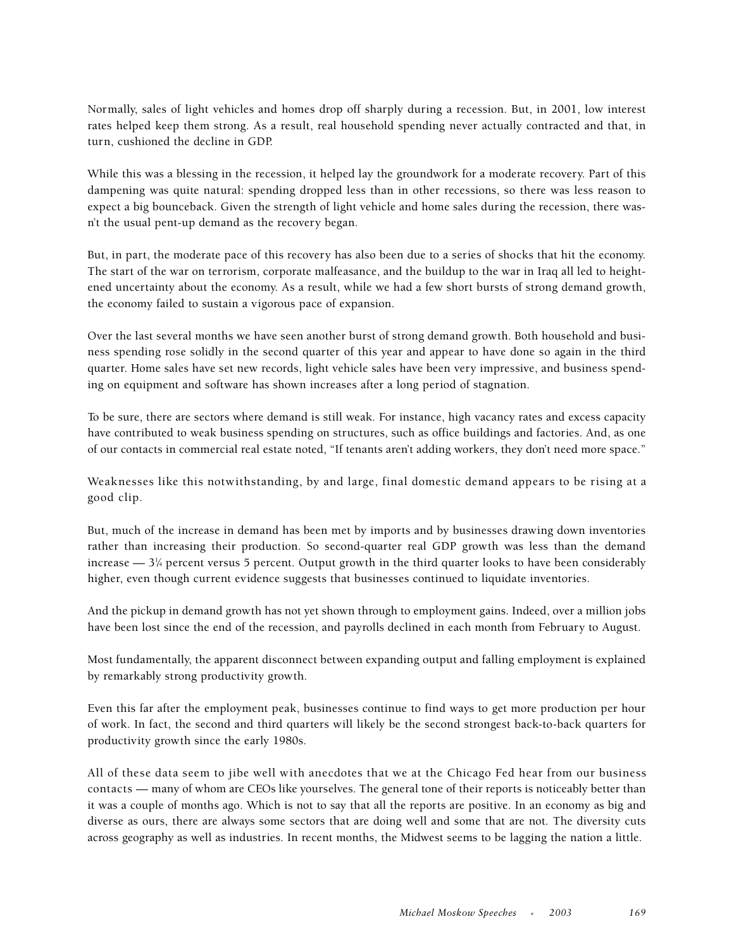Normally, sales of light vehicles and homes drop off sharply during a recession. But, in 2001, low interest rates helped keep them strong. As a result, real household spending never actually contracted and that, in turn, cushioned the decline in GDP.

While this was a blessing in the recession, it helped lay the groundwork for a moderate recovery. Part of this dampening was quite natural: spending dropped less than in other recessions, so there was less reason to expect a big bounceback. Given the strength of light vehicle and home sales during the recession, there wasn't the usual pent-up demand as the recovery began.

But, in part, the moderate pace of this recovery has also been due to a series of shocks that hit the economy. The start of the war on terrorism, corporate malfeasance, and the buildup to the war in Iraq all led to heightened uncertainty about the economy. As a result, while we had a few short bursts of strong demand growth, the economy failed to sustain a vigorous pace of expansion.

Over the last several months we have seen another burst of strong demand growth. Both household and business spending rose solidly in the second quarter of this year and appear to have done so again in the third quarter. Home sales have set new records, light vehicle sales have been very impressive, and business spending on equipment and software has shown increases after a long period of stagnation.

To be sure, there are sectors where demand is still weak. For instance, high vacancy rates and excess capacity have contributed to weak business spending on structures, such as office buildings and factories. And, as one of our contacts in commercial real estate noted, "If tenants aren't adding workers, they don't need more space."

Weaknesses like this notwithstanding, by and large, final domestic demand appears to be rising at a good clip.

But, much of the increase in demand has been met by imports and by businesses drawing down inventories rather than increasing their production. So second-quarter real GDP growth was less than the demand increase —  $3\%$  percent versus 5 percent. Output growth in the third quarter looks to have been considerably higher, even though current evidence suggests that businesses continued to liquidate inventories.

And the pickup in demand growth has not yet shown through to employment gains. Indeed, over a million jobs have been lost since the end of the recession, and payrolls declined in each month from February to August.

Most fundamentally, the apparent disconnect between expanding output and falling employment is explained by remarkably strong productivity growth.

Even this far after the employment peak, businesses continue to find ways to get more production per hour of work. In fact, the second and third quarters will likely be the second strongest back-to-back quarters for productivity growth since the early 1980s.

All of these data seem to jibe well with anecdotes that we at the Chicago Fed hear from our business contacts — many of whom are CEOs like yourselves. The general tone of their reports is noticeably better than it was a couple of months ago. Which is not to say that all the reports are positive. In an economy as big and diverse as ours, there are always some sectors that are doing well and some that are not. The diversity cuts across geography as well as industries. In recent months, the Midwest seems to be lagging the nation a little.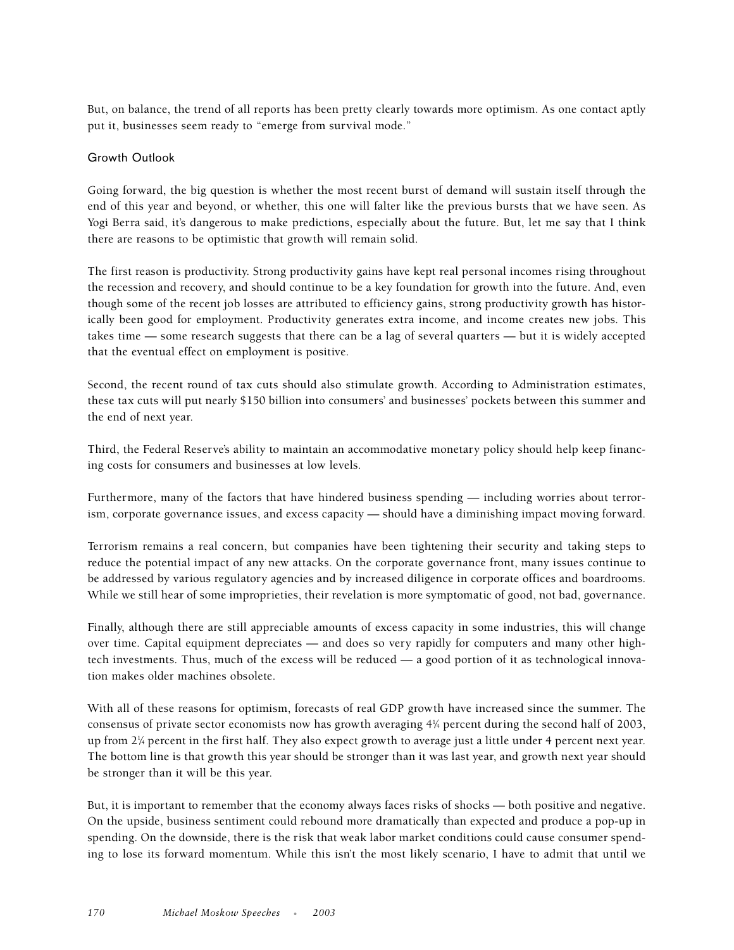But, on balance, the trend of all reports has been pretty clearly towards more optimism. As one contact aptly put it, businesses seem ready to "emerge from survival mode."

# Growth Outlook

Going forward, the big question is whether the most recent burst of demand will sustain itself through the end of this year and beyond, or whether, this one will falter like the previous bursts that we have seen. As Yogi Berra said, it's dangerous to make predictions, especially about the future. But, let me say that I think there are reasons to be optimistic that growth will remain solid.

The first reason is productivity. Strong productivity gains have kept real personal incomes rising throughout the recession and recovery, and should continue to be a key foundation for growth into the future. And, even though some of the recent job losses are attributed to efficiency gains, strong productivity growth has historically been good for employment. Productivity generates extra income, and income creates new jobs. This takes time — some research suggests that there can be a lag of several quarters — but it is widely accepted that the eventual effect on employment is positive.

Second, the recent round of tax cuts should also stimulate growth. According to Administration estimates, these tax cuts will put nearly \$150 billion into consumers' and businesses' pockets between this summer and the end of next year.

Third, the Federal Reserve's ability to maintain an accommodative monetary policy should help keep financing costs for consumers and businesses at low levels.

Furthermore, many of the factors that have hindered business spending — including worries about terrorism, corporate governance issues, and excess capacity — should have a diminishing impact moving forward.

Terrorism remains a real concern, but companies have been tightening their security and taking steps to reduce the potential impact of any new attacks. On the corporate governance front, many issues continue to be addressed by various regulatory agencies and by increased diligence in corporate offices and boardrooms. While we still hear of some improprieties, their revelation is more symptomatic of good, not bad, governance.

Finally, although there are still appreciable amounts of excess capacity in some industries, this will change over time. Capital equipment depreciates — and does so very rapidly for computers and many other hightech investments. Thus, much of the excess will be reduced — a good portion of it as technological innovation makes older machines obsolete.

With all of these reasons for optimism, forecasts of real GDP growth have increased since the summer. The consensus of private sector economists now has growth averaging 41 ⁄4 percent during the second half of 2003, up from 21 ⁄4 percent in the first half. They also expect growth to average just a little under 4 percent next year. The bottom line is that growth this year should be stronger than it was last year, and growth next year should be stronger than it will be this year.

But, it is important to remember that the economy always faces risks of shocks — both positive and negative. On the upside, business sentiment could rebound more dramatically than expected and produce a pop-up in spending. On the downside, there is the risk that weak labor market conditions could cause consumer spending to lose its forward momentum. While this isn't the most likely scenario, I have to admit that until we